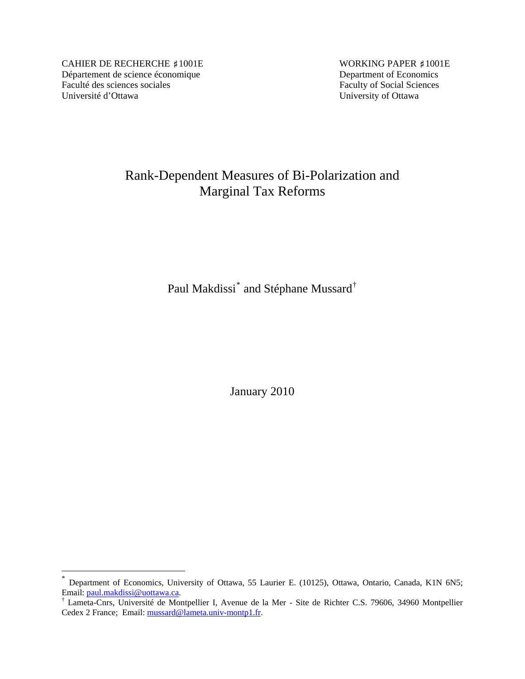CAHIER DE RECHERCHE #1001E WORKING PAPER #1001E Département de science économique<br>
Faculté des sciences sociales<br>
Faculty of Social Sciences Faculté des sciences sociales Université d'Ottawa University of Ottawa

 $\overline{a}$ 

# Rank-Dependent Measures of Bi-Polarization and Marginal Tax Reforms

Paul Makdissi $^*$  $^*$  and Stéphane Mussard $^{\dagger}$ 

January 2010

<span id="page-0-0"></span><sup>\*</sup> Department of Economics, University of Ottawa, 55 Laurier E. (10125), Ottawa, Ontario, Canada, K1N 6N5; Email: [paul.makdissi@uottawa.ca.](mailto:paul.makdissi@uottawa.ca) †

<span id="page-0-1"></span>Lameta-Cnrs, Université de Montpellier I, Avenue de la Mer - Site de Richter C.S. 79606, 34960 Montpellier Cedex 2 France; Email: [mussard@lameta.univ-montp1.fr](mailto:mussard@lameta.univ-montp1.fr).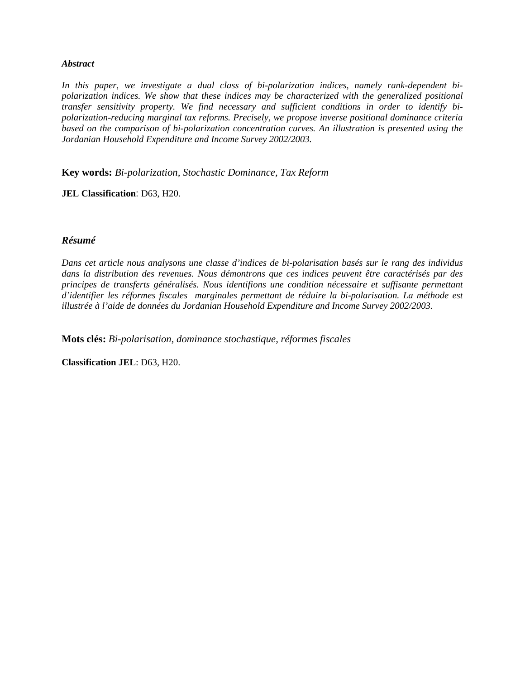#### *Abstract*

*In this paper, we investigate a dual class of bi-polarization indices, namely rank-dependent bipolarization indices. We show that these indices may be characterized with the generalized positional transfer sensitivity property. We find necessary and sufficient conditions in order to identify bipolarization-reducing marginal tax reforms. Precisely, we propose inverse positional dominance criteria based on the comparison of bi-polarization concentration curves. An illustration is presented using the Jordanian Household Expenditure and Income Survey 2002/2003.* 

**Key words:** *Bi-polarization, Stochastic Dominance, Tax Reform*

**JEL Classification**: D63, H20.

## *Résumé*

*Dans cet article nous analysons une classe d'indices de bi-polarisation basés sur le rang des individus dans la distribution des revenues. Nous démontrons que ces indices peuvent être caractérisés par des principes de transferts généralisés. Nous identifions une condition nécessaire et suffisante permettant d'identifier les réformes fiscales marginales permettant de réduire la bi-polarisation. La méthode est illustrée à l'aide de données du Jordanian Household Expenditure and Income Survey 2002/2003.* 

**Mots clés:** *Bi-polarisation, dominance stochastique, réformes fiscales*

**Classification JEL**: D63, H20.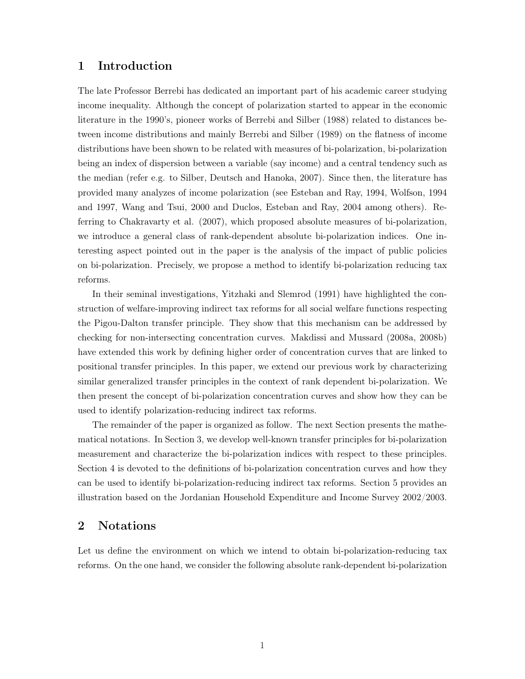## 1 Introduction

The late Professor Berrebi has dedicated an important part of his academic career studying income inequality. Although the concept of polarization started to appear in the economic literature in the 1990's, pioneer works of Berrebi and Silber (1988) related to distances between income distributions and mainly Berrebi and Silber (1989) on the flatness of income distributions have been shown to be related with measures of bi-polarization, bi-polarization being an index of dispersion between a variable (say income) and a central tendency such as the median (refer e.g. to Silber, Deutsch and Hanoka, 2007). Since then, the literature has provided many analyzes of income polarization (see Esteban and Ray, 1994, Wolfson, 1994 and 1997, Wang and Tsui, 2000 and Duclos, Esteban and Ray, 2004 among others). Referring to Chakravarty et al. (2007), which proposed absolute measures of bi-polarization, we introduce a general class of rank-dependent absolute bi-polarization indices. One interesting aspect pointed out in the paper is the analysis of the impact of public policies on bi-polarization. Precisely, we propose a method to identify bi-polarization reducing tax reforms.

In their seminal investigations, Yitzhaki and Slemrod (1991) have highlighted the construction of welfare-improving indirect tax reforms for all social welfare functions respecting the Pigou-Dalton transfer principle. They show that this mechanism can be addressed by checking for non-intersecting concentration curves. Makdissi and Mussard (2008a, 2008b) have extended this work by defining higher order of concentration curves that are linked to positional transfer principles. In this paper, we extend our previous work by characterizing similar generalized transfer principles in the context of rank dependent bi-polarization. We then present the concept of bi-polarization concentration curves and show how they can be used to identify polarization-reducing indirect tax reforms.

The remainder of the paper is organized as follow. The next Section presents the mathematical notations. In Section 3, we develop well-known transfer principles for bi-polarization measurement and characterize the bi-polarization indices with respect to these principles. Section 4 is devoted to the definitions of bi-polarization concentration curves and how they can be used to identify bi-polarization-reducing indirect tax reforms. Section 5 provides an illustration based on the Jordanian Household Expenditure and Income Survey 2002/2003.

## 2 Notations

Let us define the environment on which we intend to obtain bi-polarization-reducing tax reforms. On the one hand, we consider the following absolute rank-dependent bi-polarization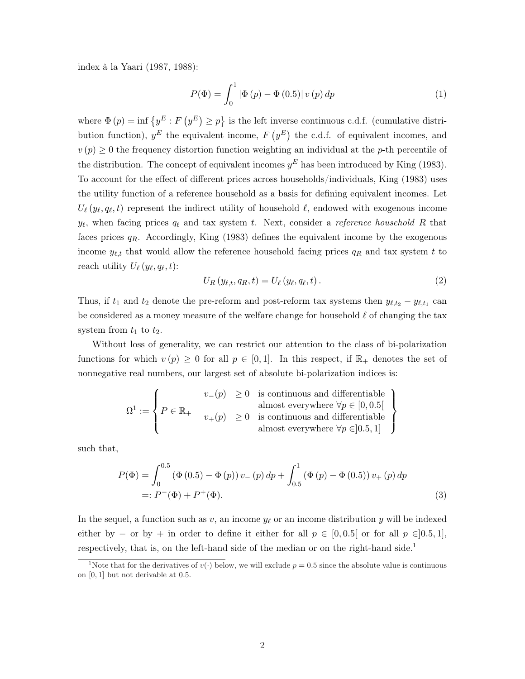index à la Yaari (1987, 1988):

$$
P(\Phi) = \int_0^1 |\Phi(p) - \Phi(0.5)| v(p) dp \tag{1}
$$

where  $\Phi(p) = \inf \{y^E : F(p)$  $y^E$  $\geq p$ ª is the left inverse continuous c.d.f. (cumulative distribution function),  $y^E$  the equivalent income,  $F$  (  $y^E$ the c.d.f. of equivalent incomes, and  $v(p) \geq 0$  the frequency distortion function weighting an individual at the p-th percentile of the distribution. The concept of equivalent incomes  $y<sup>E</sup>$  has been introduced by King (1983). To account for the effect of different prices across households/individuals, King (1983) uses the utility function of a reference household as a basis for defining equivalent incomes. Let  $U_{\ell}(y_{\ell}, q_{\ell}, t)$  represent the indirect utility of household  $\ell$ , endowed with exogenous income  $y_{\ell}$ , when facing prices  $q_{\ell}$  and tax system t. Next, consider a reference household R that faces prices  $q_R$ . Accordingly, King (1983) defines the equivalent income by the exogenous income  $y_{\ell,t}$  that would allow the reference household facing prices  $q_R$  and tax system t to reach utility  $U_{\ell}(y_{\ell}, q_{\ell}, t)$ :

$$
U_R(y_{\ell,t}, q_R, t) = U_{\ell}(y_{\ell}, q_{\ell}, t). \qquad (2)
$$

Thus, if  $t_1$  and  $t_2$  denote the pre-reform and post-reform tax systems then  $y_{\ell,t_2} - y_{\ell,t_1}$  can be considered as a money measure of the welfare change for household  $\ell$  of changing the tax system from  $t_1$  to  $t_2$ .

Without loss of generality, we can restrict our attention to the class of bi-polarization functions for which  $v(p) \geq 0$  for all  $p \in [0,1]$ . In this respect, if  $\mathbb{R}_+$  denotes the set of nonnegative real numbers, our largest set of absolute bi-polarization indices is:

$$
\Omega^1 := \left\{ P \in \mathbb{R}_+ \; \left| \; \begin{array}{ll} v_-(p) \; \geq 0 & \text{is continuous and differentiable} \\ \text{almost everywhere } \forall p \in [0,0.5[ \\ v_+(p) \; \geq 0 & \text{is continuous and differentiable} \\ \text{almost everywhere } \forall p \in ]0.5,1] \end{array} \right\}
$$

such that,

$$
P(\Phi) = \int_0^{0.5} (\Phi(0.5) - \Phi(p)) v_{-}(p) dp + \int_{0.5}^1 (\Phi(p) - \Phi(0.5)) v_{+}(p) dp
$$
  
=:  $P^{-}(\Phi) + P^{+}(\Phi)$ . (3)

In the sequel, a function such as v, an income  $y_\ell$  or an income distribution y will be indexed either by – or by + in order to define it either for all  $p \in [0, 0.5]$  or for all  $p \in [0.5, 1]$ , respectively, that is, on the left-hand side of the median or on the right-hand side.<sup>1</sup>

<sup>&</sup>lt;sup>1</sup>Note that for the derivatives of  $v(\cdot)$  below, we will exclude  $p = 0.5$  since the absolute value is continuous on [0, 1] but not derivable at 0.5.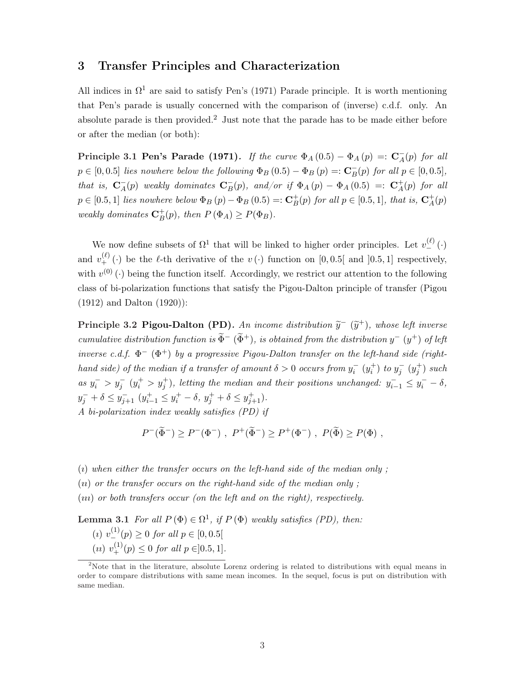## 3 Transfer Principles and Characterization

All indices in  $\Omega^1$  are said to satisfy Pen's (1971) Parade principle. It is worth mentioning that Pen's parade is usually concerned with the comparison of (inverse) c.d.f. only. An absolute parade is then provided.<sup>2</sup> Just note that the parade has to be made either before or after the median (or both):

Principle 3.1 Pen's Parade (1971). If the curve  $\Phi_A(0.5) - \Phi_A(p) =: \mathbf{C}_A^ A(\mathbf{p})$  for all  $p \in [0, 0.5]$  lies nowhere below the following  $\Phi_B(0.5) - \Phi_B(p) =: \mathbf{C}_B^ _{B}^{-}(p)$  for all  $p \in [0, 0.5]$ , that is,  $\mathbf{C}_A^ A^-(p)$  weakly dominates  $C_B^ B_{B}(p)$ , and/or if  $\Phi_{A}(p) - \Phi_{A}(0.5) =: \mathbf{C}_{A}^{+}$  $_A^+(p)$  for all  $p \in [0.5, 1]$  lies nowhere below  $\Phi_B(p) - \Phi_B(0.5) =: \mathbf{C}_B^+$  $_B^+(p)$  for all  $p \in [0.5, 1]$ , that is,  $C_A^+$  $^+_A(p)$ weakly dominates  $\mathbf{C}_B^+$  $_B^+(p)$ , then  $P(\Phi_A) \ge P(\Phi_B)$ .

We now define subsets of  $\Omega^1$  that will be linked to higher order principles. Let  $v_{-}^{(\ell)}(\cdot)$ and  $v_{+}^{(\ell)}(\cdot)$  be the  $\ell$ -th derivative of the  $v(\cdot)$  function on [0,0.5] and [0.5,1] respectively, with  $v^{(0)}(\cdot)$  being the function itself. Accordingly, we restrict our attention to the following class of bi-polarization functions that satisfy the Pigou-Dalton principle of transfer (Pigou (1912) and Dalton (1920)):

**Principle 3.2 Pigou-Dalton (PD).** An income distribution  $\tilde{y}$ <sup>-</sup>  $(\tilde{y}^+)$ , whose left inverse cumulative distribution function is  $\widetilde{\Phi}^-$  ( $\widetilde{\Phi}^+$ ), is obtained from the distribution  $y^-$  ( $y^+$ ) of left inverse c.d.f.  $\Phi^-$  ( $\Phi^+$ ) by a progressive Pigou-Dalton transfer on the left-hand side (righthand side) of the median if a transfer of amount  $\delta > 0$  occurs from  $y_i^-(y_i^+)$  to  $y_j^-(y_j^+)$  such as  $y_i^- > y_j^ (y_i^+ > y_j^+)$ , letting the median and their positions unchanged:  $y_{i-1}^- \leq y_i^- - \delta$ ,  $y_j^- + \delta \le y_{j+1}^- \ (y_{i-1}^+ \le y_i^+ - \delta, \ y_j^+ + \delta \le y_{j+1}^+).$ 

A bi-polarization index weakly satisfies (PD) if

$$
P^-(\tilde{\Phi}^-) \ge P^-(\Phi^-)
$$
,  $P^+(\tilde{\Phi}^-) \ge P^+(\Phi^-)$ ,  $P(\tilde{\Phi}) \ge P(\Phi)$ ,

(i) when either the transfer occurs on the left-hand side of the median only;

 $(n)$  or the transfer occurs on the right-hand side of the median only ;

(ııı) or both transfers occur (on the left and on the right), respectively.

**Lemma 3.1** For all  $P(\Phi) \in \Omega^1$ , if  $P(\Phi)$  weakly satisfies (PD), then:

(*i*)  $v^{(1)}_{-}(p) \ge 0$  for all  $p \in [0, 0.5[$ (*u*)  $v^{(1)}_{+}(p) \le 0$  for all  $p \in ]0.5, 1]$ .

<sup>&</sup>lt;sup>2</sup>Note that in the literature, absolute Lorenz ordering is related to distributions with equal means in order to compare distributions with same mean incomes. In the sequel, focus is put on distribution with same median.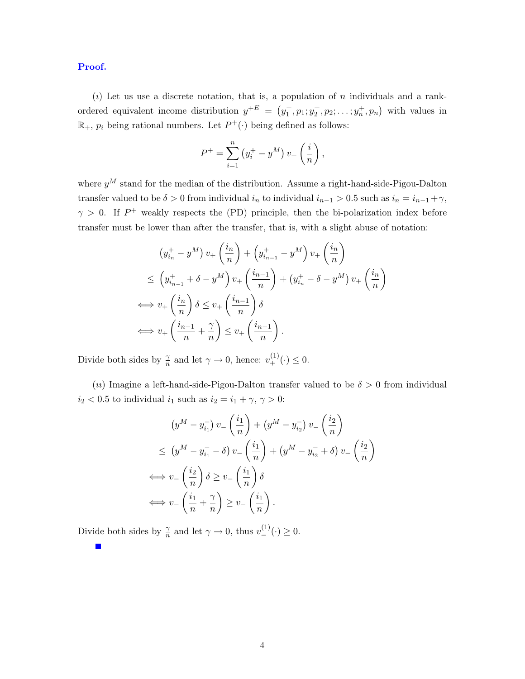Proof.

(*i*) Let us use a discrete notation, that is, a population of *n* individuals and a rankordered equivalent income distribution  $y^{+E} =$  (  $y_1^+, p_1; y_2^+, p_2; \ldots; y_n^+, p_n$  $\frac{a}{b}$ with values in  $\mathbb{R}_+$ ,  $p_i$  being rational numbers. Let  $P^+(\cdot)$  being defined as follows:

$$
P^{+} = \sum_{i=1}^{n} (y_{i}^{+} - y^{M}) v_{+} \left(\frac{i}{n}\right),
$$

where  $y^M$  stand for the median of the distribution. Assume a right-hand-side-Pigou-Dalton transfer valued to be  $\delta > 0$  from individual  $i_n$  to individual  $i_{n-1} > 0.5$  such as  $i_n = i_{n-1} + \gamma$ ,  $\gamma > 0$ . If  $P^+$  weakly respects the (PD) principle, then the bi-polarization index before transfer must be lower than after the transfer, that is, with a slight abuse of notation:

$$
(y_{i_n}^+ - y^M) v_+ \left(\frac{i_n}{n}\right) + \left(y_{i_{n-1}}^+ - y^M\right) v_+ \left(\frac{i_n}{n}\right)
$$
  
\n
$$
\leq \left(y_{i_{n-1}}^+ + \delta - y^M\right) v_+ \left(\frac{i_{n-1}}{n}\right) + \left(y_{i_n}^+ - \delta - y^M\right) v_+ \left(\frac{i_n}{n}\right)
$$
  
\n
$$
\iff v_+ \left(\frac{i_n}{n}\right) \delta \leq v_+ \left(\frac{i_{n-1}}{n}\right) \delta
$$
  
\n
$$
\iff v_+ \left(\frac{i_{n-1}}{n} + \frac{\gamma}{n}\right) \leq v_+ \left(\frac{i_{n-1}}{n}\right).
$$

Divide both sides by  $\frac{\gamma}{n}$  and let  $\gamma \to 0$ , hence:  $v^{(1)}_+(\cdot) \leq 0$ .

(*u*) Imagine a left-hand-side-Pigou-Dalton transfer valued to be  $\delta > 0$  from individual  $i_2 < 0.5$  to individual  $i_1$  such as  $i_2 = i_1 + \gamma, \gamma > 0$ :

$$
(y^M - y_{i_1}^-) v_- \left(\frac{i_1}{n}\right) + (y^M - y_{i_2}^-) v_- \left(\frac{i_2}{n}\right)
$$
  
\n
$$
\leq (y^M - y_{i_1}^- - \delta) v_- \left(\frac{i_1}{n}\right) + (y^M - y_{i_2}^- + \delta) v_- \left(\frac{i_2}{n}\right)
$$
  
\n
$$
\iff v_- \left(\frac{i_2}{n}\right) \delta \geq v_- \left(\frac{i_1}{n}\right) \delta
$$
  
\n
$$
\iff v_- \left(\frac{i_1}{n} + \frac{\gamma}{n}\right) \geq v_- \left(\frac{i_1}{n}\right).
$$

Divide both sides by  $\frac{\gamma}{n}$  and let  $\gamma \to 0$ , thus  $v^{(1)}_-(\cdot) \geq 0$ .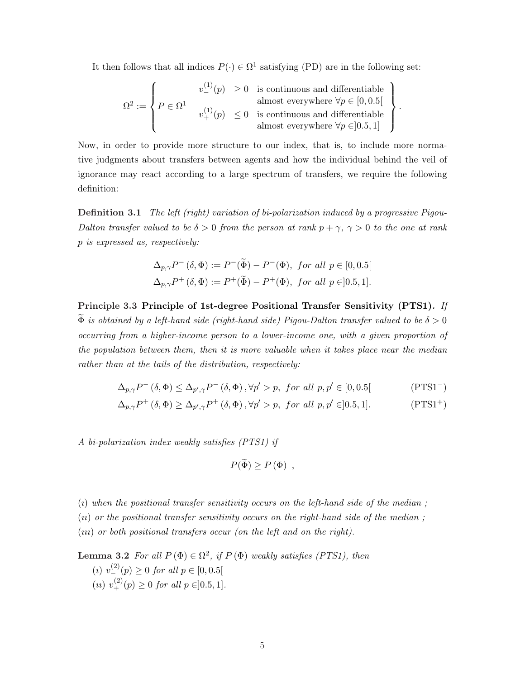It then follows that all indices  $P(\cdot) \in \Omega^1$  satisfying (PD) are in the following set:

$$
\Omega^2 := \left\{ P \in \Omega^1 \, \middle| \, v^{(1)}_-(p) \ge 0 \text{ is continuous and differentiable} \atop v^{(1)}_+(p) \le 0 \text{ is continuous and differentiable} \atop \text{almost everywhere } \forall p \in [0, 0.5[ \atop \text{almost everywhere } \forall p \in ]0.5, 1] \right\}
$$

.

Now, in order to provide more structure to our index, that is, to include more normative judgments about transfers between agents and how the individual behind the veil of ignorance may react according to a large spectrum of transfers, we require the following definition:

Definition 3.1 The left (right) variation of bi-polarization induced by a progressive Pigou-Dalton transfer valued to be  $\delta > 0$  from the person at rank  $p + \gamma$ ,  $\gamma > 0$  to the one at rank p is expressed as, respectively:

$$
\Delta_{p,\gamma}P^-(\delta,\Phi) := P^-(\widetilde{\Phi}) - P^-(\Phi), \text{ for all } p \in [0,0.5[
$$
  

$$
\Delta_{p,\gamma}P^+(\delta,\Phi) := P^+(\widetilde{\Phi}) - P^+(\Phi), \text{ for all } p \in ]0.5,1].
$$

Principle 3.3 Principle of 1st-degree Positional Transfer Sensitivity (PTS1). If  $\Phi$  is obtained by a left-hand side (right-hand side) Pigou-Dalton transfer valued to be  $\delta > 0$ occurring from a higher-income person to a lower-income one, with a given proportion of the population between them, then it is more valuable when it takes place near the median rather than at the tails of the distribution, respectively:

$$
\Delta_{p,\gamma}P^{-}(\delta,\Phi) \le \Delta_{p',\gamma}P^{-}(\delta,\Phi), \forall p' > p, \text{ for all } p,p' \in [0,0.5[ \tag{PTS1-}
$$

$$
\Delta_{p,\gamma} P^+ \left( \delta, \Phi \right) \ge \Delta_{p',\gamma} P^+ \left( \delta, \Phi \right), \forall p' > p, \text{ for all } p, p' \in ]0.5, 1].
$$
 (PTS1<sup>+</sup>)

A bi-polarization index weakly satisfies (PTS1) if

$$
P(\widetilde{\Phi}) \ge P(\Phi) ,
$$

 $(i)$  when the positional transfer sensitivity occurs on the left-hand side of the median;

 $(n)$  or the positional transfer sensitivity occurs on the right-hand side of the median;

(ııı) or both positional transfers occur (on the left and on the right).

**Lemma 3.2** For all  $P(\Phi) \in \Omega^2$ , if  $P(\Phi)$  weakly satisfies (PTS1), then (*i*)  $v^{(2)}_{-}(p) \ge 0$  for all  $p \in [0, 0.5[$ (*u*)  $v^{(2)}_{+}(p) \ge 0$  for all  $p \in ]0.5, 1]$ .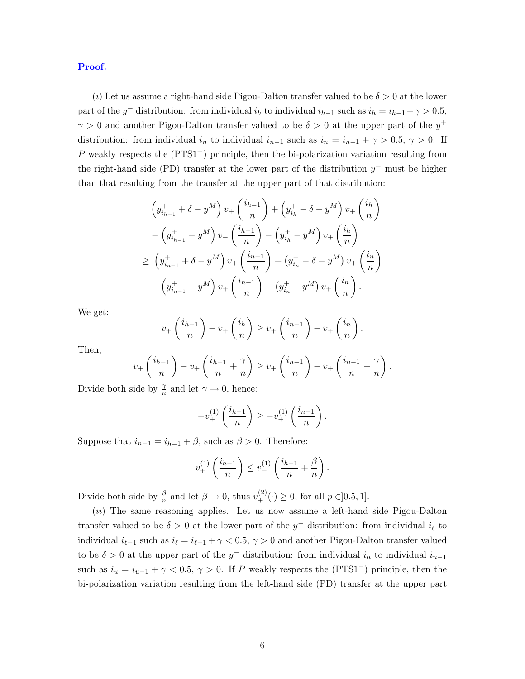Proof.

(i) Let us assume a right-hand side Pigou-Dalton transfer valued to be  $\delta > 0$  at the lower part of the  $y^+$  distribution: from individual  $i_h$  to individual  $i_{h-1}$  such as  $i_h = i_{h-1} + \gamma > 0.5$ ,  $\gamma > 0$  and another Pigou-Dalton transfer valued to be  $\delta > 0$  at the upper part of the  $y^+$ distribution: from individual  $i_n$  to individual  $i_{n-1}$  such as  $i_n = i_{n-1} + \gamma > 0.5, \gamma > 0$ . If P weakly respects the  $(PTS1<sup>+</sup>)$  principle, then the bi-polarization variation resulting from the right-hand side (PD) transfer at the lower part of the distribution  $y^+$  must be higher than that resulting from the transfer at the upper part of that distribution:

$$
\left(y_{i_{h-1}}^{+} + \delta - y^{M}\right)v_{+}\left(\frac{i_{h-1}}{n}\right) + \left(y_{i_{h}}^{+} - \delta - y^{M}\right)v_{+}\left(\frac{i_{h}}{n}\right) \n- \left(y_{i_{h-1}}^{+} - y^{M}\right)v_{+}\left(\frac{i_{h-1}}{n}\right) - \left(y_{i_{h}}^{+} - y^{M}\right)v_{+}\left(\frac{i_{h}}{n}\right) \n\geq \left(y_{i_{h-1}}^{+} + \delta - y^{M}\right)v_{+}\left(\frac{i_{h-1}}{n}\right) + \left(y_{i_{h}}^{+} - \delta - y^{M}\right)v_{+}\left(\frac{i_{h}}{n}\right) \n- \left(y_{i_{h-1}}^{+} - y^{M}\right)v_{+}\left(\frac{i_{h-1}}{n}\right) - \left(y_{i_{h}}^{+} - y^{M}\right)v_{+}\left(\frac{i_{h}}{n}\right).
$$

We get:

$$
v_+\left(\frac{i_{h-1}}{n}\right)-v_+\left(\frac{i_h}{n}\right)\geq v_+\left(\frac{i_{n-1}}{n}\right)-v_+\left(\frac{i_n}{n}\right).
$$

Then,

$$
v_+\left(\frac{i_{h-1}}{n}\right)-v_+\left(\frac{i_{h-1}}{n}+\frac{\gamma}{n}\right)\geq v_+\left(\frac{i_{n-1}}{n}\right)-v_+\left(\frac{i_{n-1}}{n}+\frac{\gamma}{n}\right).
$$

Divide both side by  $\frac{\gamma}{n}$  and let  $\gamma \to 0$ , hence:

$$
-v_{+}^{(1)}\left(\frac{i_{h-1}}{n}\right) \geq -v_{+}^{(1)}\left(\frac{i_{n-1}}{n}\right).
$$

Suppose that  $i_{n-1} = i_{h-1} + \beta$ , such as  $\beta > 0$ . Therefore:

$$
v_{+}^{(1)}\left(\frac{i_{h-1}}{n}\right) \leq v_{+}^{(1)}\left(\frac{i_{h-1}}{n} + \frac{\beta}{n}\right).
$$

Divide both side by  $\frac{\beta}{n}$  and let  $\beta \to 0$ , thus  $v^{(2)}_+(\cdot) \ge 0$ , for all  $p \in ]0.5, 1]$ .

(ıı) The same reasoning applies. Let us now assume a left-hand side Pigou-Dalton transfer valued to be  $\delta > 0$  at the lower part of the  $y^-$  distribution: from individual  $i_\ell$  to individual  $i_{\ell-1}$  such as  $i_{\ell} = i_{\ell-1} + \gamma < 0.5$ ,  $\gamma > 0$  and another Pigou-Dalton transfer valued to be  $\delta > 0$  at the upper part of the y<sup>-</sup> distribution: from individual  $i_u$  to individual  $i_{u-1}$ such as  $i_u = i_{u-1} + \gamma < 0.5$ ,  $\gamma > 0$ . If P weakly respects the (PTS1<sup>-</sup>) principle, then the bi-polarization variation resulting from the left-hand side (PD) transfer at the upper part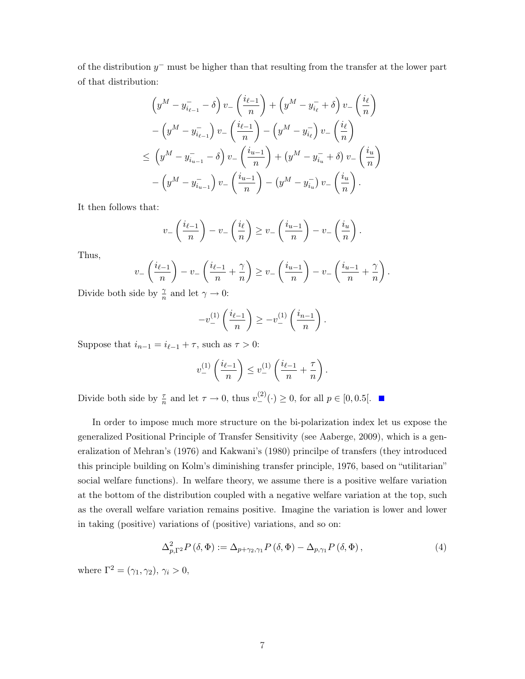of the distribution  $y^-$  must be higher than that resulting from the transfer at the lower part of that distribution:

$$
\left(y^{M} - y_{i_{\ell-1}}^{-} - \delta\right) v_{-} \left(\frac{i_{\ell-1}}{n}\right) + \left(y^{M} - y_{i_{\ell}}^{-} + \delta\right) v_{-} \left(\frac{i_{\ell}}{n}\right) \n- \left(y^{M} - y_{i_{\ell-1}}^{-}\right) v_{-} \left(\frac{i_{\ell-1}}{n}\right) - \left(y^{M} - y_{i_{\ell}}^{-}\right) v_{-} \left(\frac{i_{\ell}}{n}\right) \n\leq \left(y^{M} - y_{i_{u-1}}^{-} - \delta\right) v_{-} \left(\frac{i_{u-1}}{n}\right) + \left(y^{M} - y_{i_{u}}^{-} + \delta\right) v_{-} \left(\frac{i_{u}}{n}\right) \n- \left(y^{M} - y_{i_{u-1}}^{-}\right) v_{-} \left(\frac{i_{u-1}}{n}\right) - \left(y^{M} - y_{i_{u}}^{-}\right) v_{-} \left(\frac{i_{u}}{n}\right).
$$

It then follows that:

$$
v - \left(\frac{i_{\ell-1}}{n}\right) - v - \left(\frac{i_{\ell}}{n}\right) \ge v - \left(\frac{i_{u-1}}{n}\right) - v - \left(\frac{i_u}{n}\right).
$$

Thus,

$$
v_{-}\left(\frac{i_{\ell-1}}{n}\right) - v_{-}\left(\frac{i_{\ell-1}}{n} + \frac{\gamma}{n}\right) \geq v_{-}\left(\frac{i_{u-1}}{n}\right) - v_{-}\left(\frac{i_{u-1}}{n} + \frac{\gamma}{n}\right).
$$

Divide both side by  $\frac{\gamma}{n}$  and let  $\gamma \to 0$ :

$$
-v_-^{(1)}\left(\frac{i_{\ell-1}}{n}\right) \ge -v_-^{(1)}\left(\frac{i_{n-1}}{n}\right).
$$

Suppose that  $i_{n-1} = i_{\ell-1} + \tau$ , such as  $\tau > 0$ :

$$
v_-^{(1)}\left(\frac{i_{\ell-1}}{n}\right) \le v_-^{(1)}\left(\frac{i_{\ell-1}}{n} + \frac{\tau}{n}\right).
$$

Divide both side by  $\frac{\tau}{n}$  and let  $\tau \to 0$ , thus  $v^{(2)}_-(\cdot) \geq 0$ , for all  $p \in [0, 0.5]$ .

In order to impose much more structure on the bi-polarization index let us expose the generalized Positional Principle of Transfer Sensitivity (see Aaberge, 2009), which is a generalization of Mehran's (1976) and Kakwani's (1980) princilpe of transfers (they introduced this principle building on Kolm's diminishing transfer principle, 1976, based on "utilitarian" social welfare functions). In welfare theory, we assume there is a positive welfare variation at the bottom of the distribution coupled with a negative welfare variation at the top, such as the overall welfare variation remains positive. Imagine the variation is lower and lower in taking (positive) variations of (positive) variations, and so on:

$$
\Delta_{p,\Gamma^2}^2 P(\delta,\Phi) := \Delta_{p+\gamma_2,\gamma_1} P(\delta,\Phi) - \Delta_{p,\gamma_1} P(\delta,\Phi),\tag{4}
$$

where  $\Gamma^2 = (\gamma_1, \gamma_2), \gamma_i > 0,$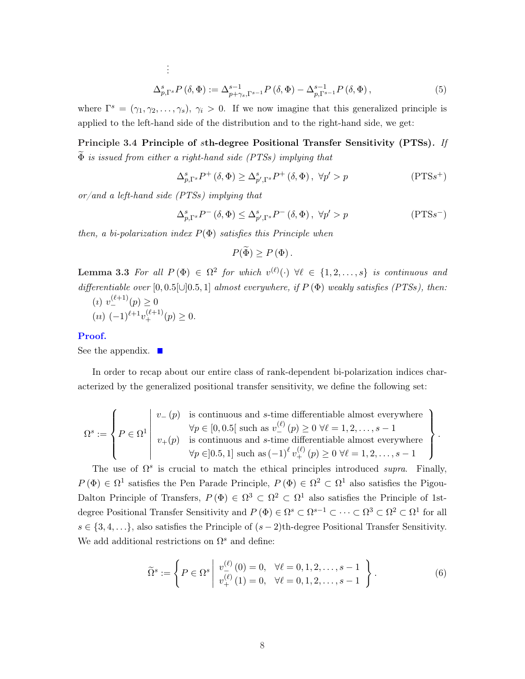$$
\Delta_{p,\Gamma^s}^s P\left(\delta,\Phi\right) := \Delta_{p+\gamma_s,\Gamma^{s-1}}^{s-1} P\left(\delta,\Phi\right) - \Delta_{p,\Gamma^{s-1}}^{s-1} P\left(\delta,\Phi\right),\tag{5}
$$

where  $\Gamma^s = (\gamma_1, \gamma_2, \ldots, \gamma_s), \gamma_i > 0$ . If we now imagine that this generalized principle is applied to the left-hand side of the distribution and to the right-hand side, we get:

Principle 3.4 Principle of sth-degree Positional Transfer Sensitivity (PTSs). If  $\widetilde{\Phi}$  is issued from either a right-hand side (PTSs) implying that

$$
\Delta_{p,\Gamma^s}^s P^+ \left( \delta, \Phi \right) \ge \Delta_{p',\Gamma^s}^s P^+ \left( \delta, \Phi \right), \ \forall p' > p \tag{PTSs+}
$$

 $\frac{\partial \alpha}{\partial x}$  or/and a left-hand side (PTSs) implying that

. . .

$$
\Delta_{p,\Gamma^s}^s P^-(\delta,\Phi) \le \Delta_{p',\Gamma^s}^s P^-(\delta,\Phi), \ \forall p' > p \tag{PTSs}^{-}
$$

then, a bi-polarization index  $P(\Phi)$  satisfies this Principle when

$$
P(\widetilde{\Phi}) \ge P(\Phi).
$$

**Lemma 3.3** For all  $P(\Phi) \in \Omega^2$  for which  $v^{(\ell)}(\cdot)$   $\forall \ell \in \{1, 2, ..., s\}$  is continuous and differentiable over  $[0, 0.5] \cup [0.5, 1]$  almost everywhere, if  $P(\Phi)$  weakly satisfies (PTSs), then:

(i) 
$$
v_{-}^{(\ell+1)}(p) \ge 0
$$
  
(*u*)  $(-1)^{\ell+1}v_{+}^{(\ell+1)}(p) \ge 0$ .

#### Proof.

See the appendix.  $\blacksquare$ 

In order to recap about our entire class of rank-dependent bi-polarization indices characterized by the generalized positional transfer sensitivity, we define the following set:

$$
\Omega^s := \left\{ P \in \Omega^1 \middle| \begin{array}{l} v_-(p) \quad \text{is continuous and } s \text{-time differentiable almost everywhere} \\ \forall p \in [0,0.5[ \text{ such as } v^{(\ell)}_-(p) \geq 0 \ \forall \ell = 1,2,\ldots,s-1 \\ v_+(p) \quad \text{is continuous and } s \text{-time differentiable almost everywhere} \\ \forall p \in ]0.5,1] \text{ such as } (-1)^{\ell} v^{(\ell)}_+(p) \geq 0 \ \forall \ell = 1,2,\ldots,s-1 \end{array} \right\}.
$$

The use of  $\Omega^s$  is crucial to match the ethical principles introduced supra. Finally,  $P(\Phi) \in \Omega^1$  satisfies the Pen Parade Principle,  $P(\Phi) \in \Omega^2 \subset \Omega^1$  also satisfies the Pigou-Dalton Principle of Transfers,  $P(\Phi) \in \Omega^3 \subset \Omega^2 \subset \Omega^1$  also satisfies the Principle of 1stdegree Positional Transfer Sensitivity and  $P(\Phi) \in \Omega^s \subset \Omega^{s-1} \subset \cdots \subset \Omega^3 \subset \Omega^2 \subset \Omega^1$  for all  $s \in \{3, 4, \ldots\}$ , also satisfies the Principle of  $(s-2)$ th-degree Positional Transfer Sensitivity. We add additional restrictions on  $\Omega^s$  and define:

$$
\widetilde{\Omega}^s := \left\{ P \in \Omega^s \middle| \begin{array}{l} v_{-}^{(\ell)}(0) = 0, \quad \forall \ell = 0, 1, 2, \dots, s - 1 \\ v_{+}^{(\ell)}(1) = 0, \quad \forall \ell = 0, 1, 2, \dots, s - 1 \end{array} \right\}.
$$
\n(6)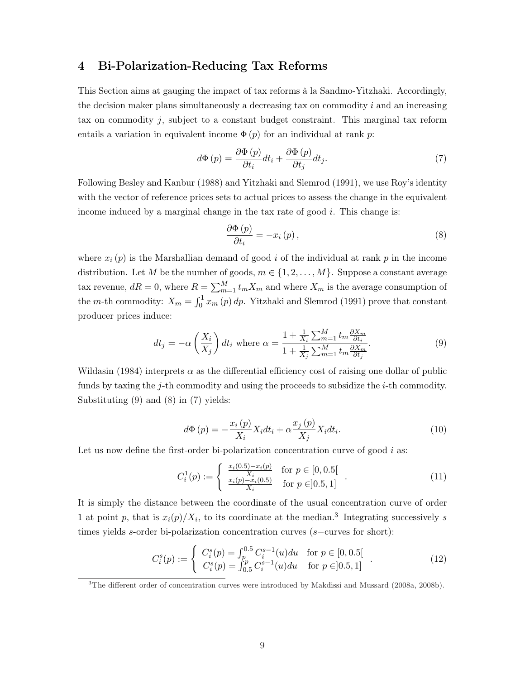## 4 Bi-Polarization-Reducing Tax Reforms

This Section aims at gauging the impact of tax reforms à la Sandmo-Yitzhaki. Accordingly, the decision maker plans simultaneously a decreasing tax on commodity  $i$  and an increasing tax on commodity  $j$ , subject to a constant budget constraint. This marginal tax reform entails a variation in equivalent income  $\Phi(p)$  for an individual at rank p:

$$
d\Phi(p) = \frac{\partial \Phi(p)}{\partial t_i} dt_i + \frac{\partial \Phi(p)}{\partial t_j} dt_j.
$$
 (7)

Following Besley and Kanbur (1988) and Yitzhaki and Slemrod (1991), we use Roy's identity with the vector of reference prices sets to actual prices to assess the change in the equivalent income induced by a marginal change in the tax rate of good  $i$ . This change is:

$$
\frac{\partial \Phi\left(p\right)}{\partial t_i} = -x_i\left(p\right),\tag{8}
$$

where  $x_i(p)$  is the Marshallian demand of good i of the individual at rank p in the income distribution. Let M be the number of goods,  $m \in \{1, 2, ..., M\}$ . Suppose a constant average tax revenue,  $dR = 0$ , where  $R = \sum_{m=1}^{M}$  $_{m=1}^{M} t_m X_m$  and where  $X_m$  is the average consumption of the *m*-th commodity:  $X_m = \int_0^1$  $\int_0^1 x_m(p) dp$ . Yitzhaki and Slemrod (1991) prove that constant producer prices induce:

$$
dt_j = -\alpha \left(\frac{X_i}{X_j}\right) dt_i \text{ where } \alpha = \frac{1 + \frac{1}{X_i} \sum_{m=1}^{M} t_m \frac{\partial X_m}{\partial t_i}}{1 + \frac{1}{X_j} \sum_{m=1}^{M} t_m \frac{\partial X_m}{\partial t_j}}.
$$
 (9)

Wildasin (1984) interprets  $\alpha$  as the differential efficiency cost of raising one dollar of public funds by taxing the j-th commodity and using the proceeds to subsidize the  $i$ -th commodity. Substituting (9) and (8) in (7) yields:

$$
d\Phi(p) = -\frac{x_i(p)}{X_i} X_i dt_i + \alpha \frac{x_j(p)}{X_j} X_i dt_i.
$$
\n(10)

Let us now define the first-order bi-polarization concentration curve of good  $i$  as:

$$
C_i^1(p) := \begin{cases} \frac{x_i(0.5) - x_i(p)}{X_i} & \text{for } p \in [0, 0.5[\\ \frac{x_i(p) - x_i(0.5)}{X_i} & \text{for } p \in ]0.5, 1] \end{cases}
$$
 (11)

It is simply the distance between the coordinate of the usual concentration curve of order 1 at point p, that is  $x_i(p)/X_i$ , to its coordinate at the median.<sup>3</sup> Integrating successively s times yields s-order bi-polarization concentration curves (s−curves for short):

$$
C_i^s(p) := \begin{cases} C_i^s(p) = \int_p^{0.5} C_i^{s-1}(u) du & \text{for } p \in [0, 0.5[\\ C_i^s(p) = \int_{0.5}^p C_i^{s-1}(u) du & \text{for } p \in ]0.5, 1] \end{cases}
$$
(12)

<sup>&</sup>lt;sup>3</sup>The different order of concentration curves were introduced by Makdissi and Mussard (2008a, 2008b).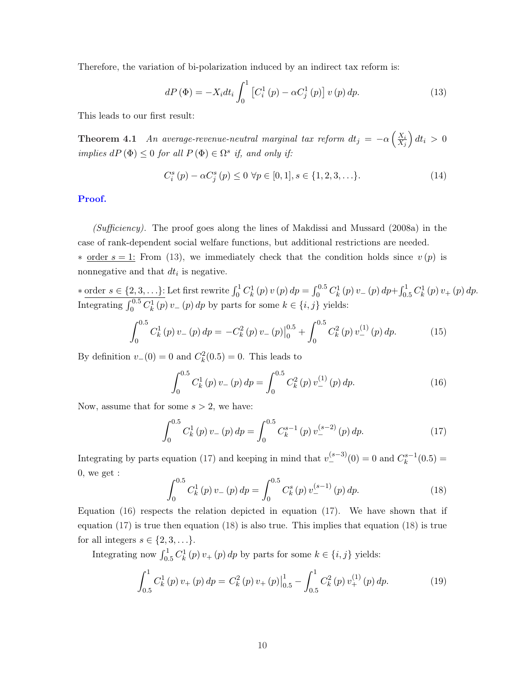Therefore, the variation of bi-polarization induced by an indirect tax reform is:

$$
dP\left(\Phi\right) = -X_i dt_i \int_0^1 \left[C_i^1\left(p\right) - \alpha C_j^1\left(p\right)\right] v\left(p\right) dp. \tag{13}
$$

This leads to our first result:

**Theorem 4.1** An average-revenue-neutral marginal tax reform  $dt_j = -\alpha$  $\left( \frac{X_i}{X_i} \right)$  $X_j$ ´  $dt_i > 0$ implies  $dP(\Phi) \leq 0$  for all  $P(\Phi) \in \Omega^s$  if, and only if:

$$
C_i^s(p) - \alpha C_j^s(p) \le 0 \ \forall p \in [0, 1], s \in \{1, 2, 3, \ldots\}.
$$
 (14)

#### Proof.

 $(Sufficiency)$ . The proof goes along the lines of Makdissi and Mussard (2008a) in the case of rank-dependent social welfare functions, but additional restrictions are needed.  $*$  order  $s = 1$ : From (13), we immediately check that the condition holds since  $v(p)$  is nonnegative and that  $dt_i$  is negative.

\* order  $s \in \{2, 3, ...\}$ : Let first rewrite  $\int_0^1 C_k^1(p) v(p) dp = \int_0^{0.5}$  $C_k^{0.5} C_k^1(p) v_-(p) dp + \int_0^1$  $C_k^1$   $C_k^1(p) v_+(p) dp$ . Integrating  $\int_0^{0.5} C_k^1(p) v_-(p) dp$  by parts for some  $k \in \{i, j\}$  yields:

$$
\int_0^{0.5} C_k^1(p) v_-(p) dp = -C_k^2(p) v_-(p) \Big|_0^{0.5} + \int_0^{0.5} C_k^2(p) v_-^{(1)}(p) dp.
$$
 (15)

By definition  $v_-(0) = 0$  and  $C_k^2(0.5) = 0$ . This leads to

$$
\int_0^{0.5} C_k^1(p) v_-(p) dp = \int_0^{0.5} C_k^2(p) v_-^{(1)}(p) dp.
$$
 (16)

Now, assume that for some  $s > 2$ , we have:

$$
\int_0^{0.5} C_k^1(p) v_-(p) dp = \int_0^{0.5} C_k^{s-1}(p) v_-^{(s-2)}(p) dp.
$$
 (17)

Integrating by parts equation (17) and keeping in mind that  $v_{-}^{(s-3)}(0) = 0$  and  $C_{k}^{s-1}$  $\binom{s-1}{k}(0.5) =$ 0, we get :

$$
\int_0^{0.5} C_k^1(p) v_-(p) dp = \int_0^{0.5} C_k^s(p) v_-^{(s-1)}(p) dp.
$$
 (18)

Equation  $(16)$  respects the relation depicted in equation  $(17)$ . We have shown that if equation  $(17)$  is true then equation  $(18)$  is also true. This implies that equation  $(18)$  is true for all integers  $s \in \{2, 3, \ldots\}.$ 

Integrating now  $\int_{0.5}^{1} C_k^1(p) v_+(p) dp$  by parts for some  $k \in \{i, j\}$  yields:

$$
\int_{0.5}^{1} C_k^1(p) v_+(p) dp = C_k^2(p) v_+(p) \Big|_{0.5}^{1} - \int_{0.5}^{1} C_k^2(p) v_+^{(1)}(p) dp.
$$
 (19)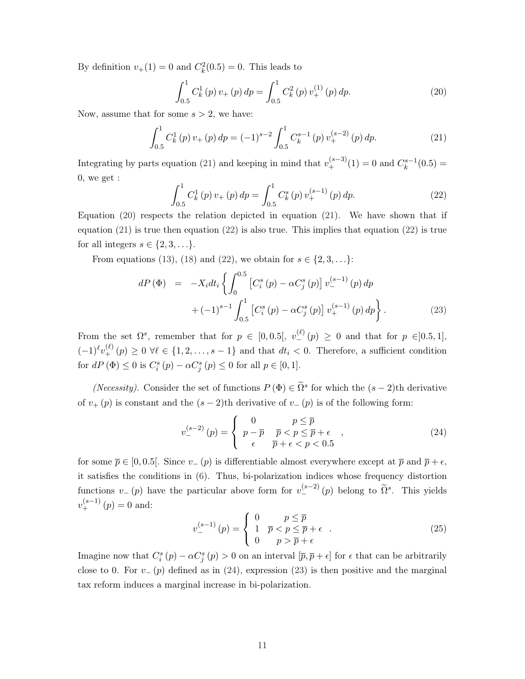By definition  $v_+(1) = 0$  and  $C_k^2(0.5) = 0$ . This leads to

$$
\int_{0.5}^{1} C_k^1(p) v_+(p) dp = \int_{0.5}^{1} C_k^2(p) v_+^{(1)}(p) dp.
$$
 (20)

Now, assume that for some  $s > 2$ , we have:

$$
\int_{0.5}^{1} C_k^1(p) v_+(p) dp = (-1)^{s-2} \int_{0.5}^{1} C_k^{s-1}(p) v_+^{(s-2)}(p) dp.
$$
 (21)

Integrating by parts equation (21) and keeping in mind that  $v_+^{(s-3)}(1) = 0$  and  $C_k^{s-1}$  $\binom{s-1}{k}(0.5) =$ 0, we get :

$$
\int_{0.5}^{1} C_k^1(p) v_+(p) dp = \int_{0.5}^{1} C_k^s(p) v_+^{(s-1)}(p) dp.
$$
 (22)

Equation  $(20)$  respects the relation depicted in equation  $(21)$ . We have shown that if equation  $(21)$  is true then equation  $(22)$  is also true. This implies that equation  $(22)$  is true for all integers  $s \in \{2, 3, \ldots\}.$ 

From equations (13), (18) and (22), we obtain for  $s \in \{2, 3, \ldots\}$ :

$$
dP(\Phi) = -X_i dt_i \left\{ \int_0^{0.5} \left[ C_i^s(p) - \alpha C_j^s(p) \right] v_-^{(s-1)}(p) dp + (-1)^{s-1} \int_{0.5}^1 \left[ C_i^s(p) - \alpha C_j^s(p) \right] v_+^{(s-1)}(p) dp \right\}.
$$
 (23)

From the set  $\Omega^s$ , remember that for  $p \in [0,0.5[, v_{-}^{(\ell)}(p) \ge 0$  and that for  $p \in ]0.5,1],$  $(-1)^{\ell}v_{+}^{(\ell)}(p) \geq 0 \ \forall \ell \in \{1, 2, \ldots, s-1\}$  and that  $dt_i < 0$ . Therefore, a sufficient condition for  $dP(\Phi) \leq 0$  is  $C_i^s(p) - \alpha C_j^s(p) \leq 0$  for all  $p \in [0,1]$ .

(Necessity). Consider the set of functions  $P(\Phi) \in \tilde{\Omega}^s$  for which the  $(s-2)$ th derivative of  $v_{+}(p)$  is constant and the  $(s-2)$ th derivative of  $v_{-}(p)$  is of the following form:

$$
v_{-}^{(s-2)}(p) = \begin{cases} 0 & p \le \overline{p} \\ p - \overline{p} & \overline{p} < p \le \overline{p} + \epsilon \\ \epsilon & \overline{p} + \epsilon < p < 0.5 \end{cases}
$$
 (24)

for some  $\bar{p} \in [0, 0.5]$ . Since  $v_{-}(p)$  is differentiable almost everywhere except at  $\bar{p}$  and  $\bar{p} + \epsilon$ , it satisfies the conditions in (6). Thus, bi-polarization indices whose frequency distortion functions  $v_-(p)$  have the particular above form for  $v_{-}^{(s-2)}(p)$  belong to  $\tilde{\Omega}^s$ . This yields  $v_{+}^{(s-1)}(p) = 0$  and:  $\overline{a}$ 

$$
v_{-}^{(s-1)}(p) = \begin{cases} 0 & p \le \overline{p} \\ 1 & \overline{p} < p \le \overline{p} + \epsilon \\ 0 & p > \overline{p} + \epsilon \end{cases} \tag{25}
$$

Imagine now that  $C_i^s(p) - \alpha C_j^s(p) > 0$  on an interval  $[\bar{p}, \bar{p} + \epsilon]$  for  $\epsilon$  that can be arbitrarily close to 0. For  $v_-(p)$  defined as in (24), expression (23) is then positive and the marginal tax reform induces a marginal increase in bi-polarization.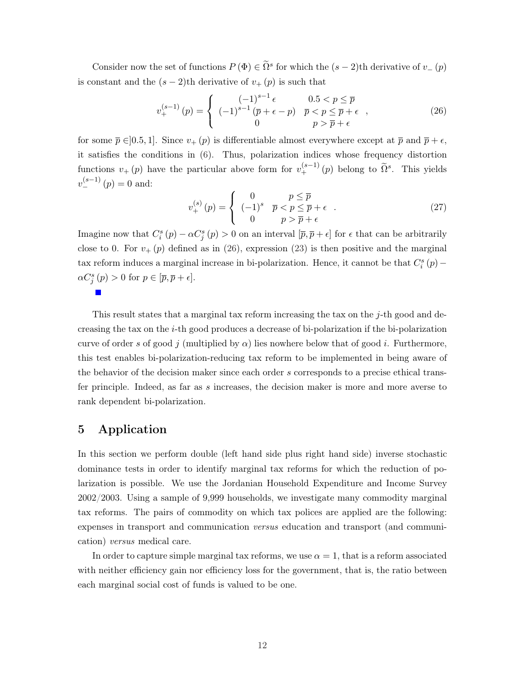Consider now the set of functions  $P(\Phi) \in \tilde{\Omega}^s$  for which the  $(s-2)$ th derivative of  $v_{-}(p)$ is constant and the  $(s-2)$ th derivative of  $v_{+}(p)$  is such that

$$
v_{+}^{(s-1)}(p) = \begin{cases} (-1)^{s-1} \epsilon & 0.5 < p \le \bar{p} \\ (-1)^{s-1} (\bar{p} + \epsilon - p) & \bar{p} < p \le \bar{p} + \epsilon \\ 0 & p > \bar{p} + \epsilon \end{cases}
$$
 (26)

for some  $\bar{p} \in ]0.5, 1]$ . Since  $v_+(p)$  is differentiable almost everywhere except at  $\bar{p}$  and  $\bar{p} + \epsilon$ , it satisfies the conditions in (6). Thus, polarization indices whose frequency distortion functions  $v_{+}(p)$  have the particular above form for  $v_{+}^{(s-1)}(p)$  belong to  $\tilde{\Omega}^s$ . This yields  $v_{-}^{(s-1)}(p) = 0$  and:  $\overline{a}$ 

$$
v_{+}^{(s)}(p) = \begin{cases} 0 & p \le \overline{p} \\ (-1)^{s} & \overline{p} < p \le \overline{p} + \epsilon \\ 0 & p > \overline{p} + \epsilon \end{cases} \tag{27}
$$

Imagine now that  $C_i^s(p) - \alpha C_j^s(p) > 0$  on an interval  $[\bar{p}, \bar{p} + \epsilon]$  for  $\epsilon$  that can be arbitrarily close to 0. For  $v_{+}(p)$  defined as in (26), expression (23) is then positive and the marginal tax reform induces a marginal increase in bi-polarization. Hence, it cannot be that  $C_i^s(p)$  –  $\alpha C_j^s(p) > 0$  for  $p \in [\overline{p}, \overline{p} + \epsilon].$ 

This result states that a marginal tax reform increasing the tax on the  $j$ -th good and decreasing the tax on the i-th good produces a decrease of bi-polarization if the bi-polarization curve of order s of good j (multiplied by  $\alpha$ ) lies nowhere below that of good i. Furthermore, this test enables bi-polarization-reducing tax reform to be implemented in being aware of the behavior of the decision maker since each order s corresponds to a precise ethical transfer principle. Indeed, as far as s increases, the decision maker is more and more averse to rank dependent bi-polarization.

## 5 Application

In this section we perform double (left hand side plus right hand side) inverse stochastic dominance tests in order to identify marginal tax reforms for which the reduction of polarization is possible. We use the Jordanian Household Expenditure and Income Survey 2002/2003. Using a sample of 9,999 households, we investigate many commodity marginal tax reforms. The pairs of commodity on which tax polices are applied are the following: expenses in transport and communication versus education and transport (and communication) versus medical care.

In order to capture simple marginal tax reforms, we use  $\alpha = 1$ , that is a reform associated with neither efficiency gain nor efficiency loss for the government, that is, the ratio between each marginal social cost of funds is valued to be one.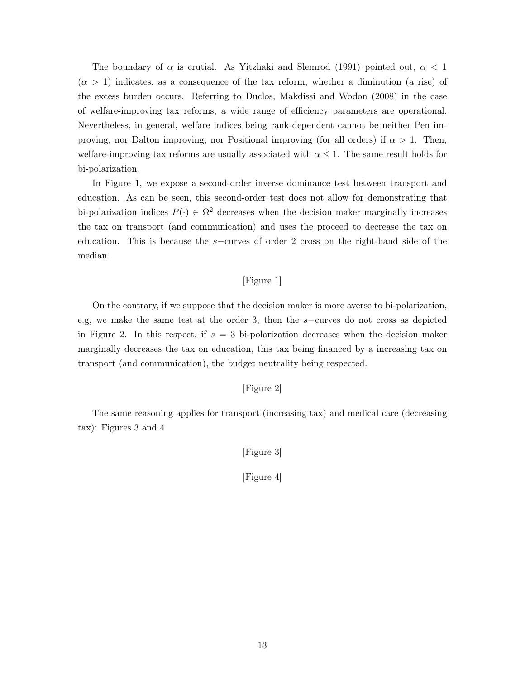The boundary of  $\alpha$  is crutial. As Yitzhaki and Slemrod (1991) pointed out,  $\alpha < 1$  $(\alpha > 1)$  indicates, as a consequence of the tax reform, whether a diminution (a rise) of the excess burden occurs. Referring to Duclos, Makdissi and Wodon (2008) in the case of welfare-improving tax reforms, a wide range of efficiency parameters are operational. Nevertheless, in general, welfare indices being rank-dependent cannot be neither Pen improving, nor Dalton improving, nor Positional improving (for all orders) if  $\alpha > 1$ . Then, welfare-improving tax reforms are usually associated with  $\alpha \leq 1$ . The same result holds for bi-polarization.

In Figure 1, we expose a second-order inverse dominance test between transport and education. As can be seen, this second-order test does not allow for demonstrating that bi-polarization indices  $P(\cdot) \in \Omega^2$  decreases when the decision maker marginally increases the tax on transport (and communication) and uses the proceed to decrease the tax on education. This is because the s−curves of order 2 cross on the right-hand side of the median.

### [Figure 1]

On the contrary, if we suppose that the decision maker is more averse to bi-polarization, e.g, we make the same test at the order 3, then the s−curves do not cross as depicted in Figure 2. In this respect, if  $s = 3$  bi-polarization decreases when the decision maker marginally decreases the tax on education, this tax being financed by a increasing tax on transport (and communication), the budget neutrality being respected.

### [Figure 2]

The same reasoning applies for transport (increasing tax) and medical care (decreasing tax): Figures 3 and 4.

[Figure 3]

[Figure 4]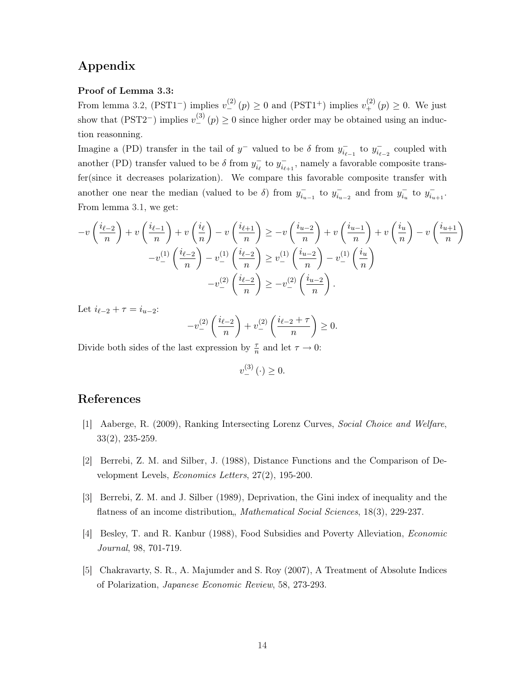## Appendix

#### Proof of Lemma 3.3:

From lemma 3.2, (PST1<sup>-</sup>) implies  $v_{-}^{(2)}(p) \ge 0$  and (PST1<sup>+</sup>) implies  $v_{+}^{(2)}(p) \ge 0$ . We just show that (PST2<sup>-</sup>) implies  $v_{-}^{(3)}(p) \ge 0$  since higher order may be obtained using an induction reasonning.

Imagine a (PD) transfer in the tail of  $y^-$  valued to be  $\delta$  from  $y_{i_{\ell-1}}^-$  to  $y_{i_{\ell-2}}^-$  coupled with another (PD) transfer valued to be  $\delta$  from  $y_{i_\ell}^-$  to  $y_{i_{\ell+1}}^-$ , namely a favorable composite transfer(since it decreases polarization). We compare this favorable composite transfer with another one near the median (valued to be  $\delta$ ) from  $y_{i_{u-1}}^-$  to  $y_{i_{u-2}}^-$  and from  $y_{i_u}^-$  to  $y_{i_{u+1}}^-$ . From lemma 3.1, we get:

$$
-v\left(\frac{i_{\ell-2}}{n}\right) + v\left(\frac{i_{\ell-1}}{n}\right) + v\left(\frac{i_{\ell}}{n}\right) - v\left(\frac{i_{\ell+1}}{n}\right) \geq -v\left(\frac{i_{u-2}}{n}\right) + v\left(\frac{i_{u-1}}{n}\right) + v\left(\frac{i_{u}}{n}\right) - v\left(\frac{i_{u+1}}{n}\right)
$$

$$
-v_{-}^{(1)}\left(\frac{i_{\ell-2}}{n}\right) - v_{-}^{(1)}\left(\frac{i_{\ell-2}}{n}\right) \geq v_{-}^{(1)}\left(\frac{i_{u-2}}{n}\right) - v_{-}^{(1)}\left(\frac{i_{u}}{n}\right)
$$

$$
-v_{-}^{(2)}\left(\frac{i_{\ell-2}}{n}\right) \geq -v_{-}^{(2)}\left(\frac{i_{u-2}}{n}\right).
$$

Let  $i_{\ell-2} + \tau = i_{u-2}$ :

$$
-v^{(2)}_-\left(\frac{i_{\ell-2}}{n}\right)+v^{(2)}_-\left(\frac{i_{\ell-2}+\tau}{n}\right)\geq 0.
$$

Divide both sides of the last expression by  $\frac{\tau}{n}$  and let  $\tau \to 0$ :

 $v_{-}^{(3)}(\cdot) \geq 0.$ 

### References

- [1] Aaberge, R. (2009), Ranking Intersecting Lorenz Curves, Social Choice and Welfare, 33(2), 235-259.
- [2] Berrebi, Z. M. and Silber, J. (1988), Distance Functions and the Comparison of Development Levels, Economics Letters, 27(2), 195-200.
- [3] Berrebi, Z. M. and J. Silber (1989), Deprivation, the Gini index of inequality and the flatness of an income distribution, *Mathematical Social Sciences*, 18(3), 229-237.
- [4] Besley, T. and R. Kanbur (1988), Food Subsidies and Poverty Alleviation, Economic Journal, 98, 701-719.
- [5] Chakravarty, S. R., A. Majumder and S. Roy (2007), A Treatment of Absolute Indices of Polarization, Japanese Economic Review, 58, 273-293.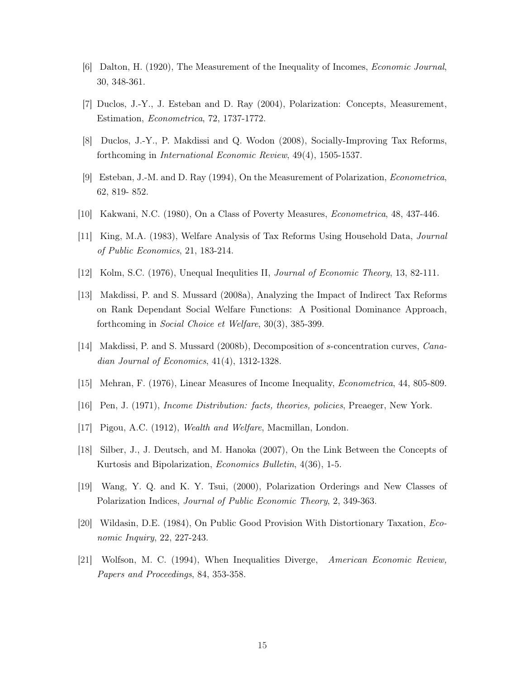- [6] Dalton, H. (1920), The Measurement of the Inequality of Incomes, Economic Journal, 30, 348-361.
- [7] Duclos, J.-Y., J. Esteban and D. Ray (2004), Polarization: Concepts, Measurement, Estimation, Econometrica, 72, 1737-1772.
- [8] Duclos, J.-Y., P. Makdissi and Q. Wodon (2008), Socially-Improving Tax Reforms, forthcoming in International Economic Review, 49(4), 1505-1537.
- [9] Esteban, J.-M. and D. Ray (1994), On the Measurement of Polarization, Econometrica, 62, 819- 852.
- [10] Kakwani, N.C. (1980), On a Class of Poverty Measures, Econometrica, 48, 437-446.
- [11] King, M.A. (1983), Welfare Analysis of Tax Reforms Using Household Data, Journal of Public Economics, 21, 183-214.
- [12] Kolm, S.C. (1976), Unequal Inequlities II, Journal of Economic Theory, 13, 82-111.
- [13] Makdissi, P. and S. Mussard (2008a), Analyzing the Impact of Indirect Tax Reforms on Rank Dependant Social Welfare Functions: A Positional Dominance Approach, forthcoming in Social Choice et Welfare, 30(3), 385-399.
- [14] Makdissi, P. and S. Mussard (2008b), Decomposition of s-concentration curves, Canadian Journal of Economics, 41(4), 1312-1328.
- [15] Mehran, F. (1976), Linear Measures of Income Inequality, Econometrica, 44, 805-809.
- [16] Pen, J. (1971), Income Distribution: facts, theories, policies, Preaeger, New York.
- [17] Pigou, A.C. (1912), Wealth and Welfare, Macmillan, London.
- [18] Silber, J., J. Deutsch, and M. Hanoka (2007), On the Link Between the Concepts of Kurtosis and Bipolarization, Economics Bulletin, 4(36), 1-5.
- [19] Wang, Y. Q. and K. Y. Tsui, (2000), Polarization Orderings and New Classes of Polarization Indices, Journal of Public Economic Theory, 2, 349-363.
- [20] Wildasin, D.E. (1984), On Public Good Provision With Distortionary Taxation, Economic Inquiry, 22, 227-243.
- [21] Wolfson, M. C. (1994), When Inequalities Diverge, American Economic Review, Papers and Proceedings, 84, 353-358.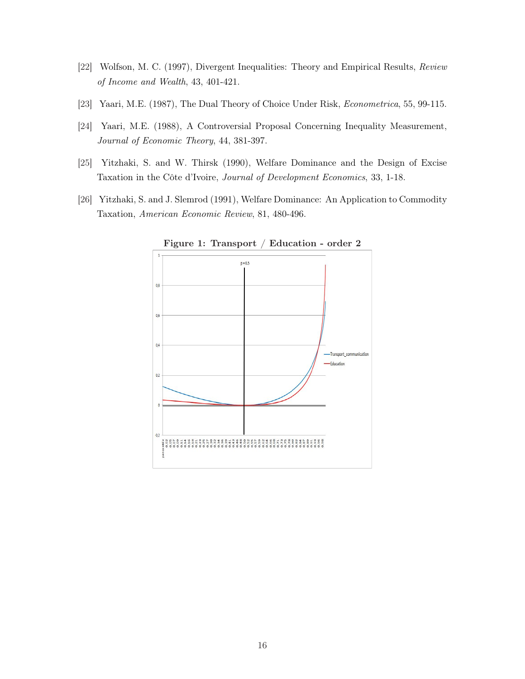- [22] Wolfson, M. C. (1997), Divergent Inequalities: Theory and Empirical Results, Review of Income and Wealth, 43, 401-421.
- [23] Yaari, M.E. (1987), The Dual Theory of Choice Under Risk, Econometrica, 55, 99-115.
- [24] Yaari, M.E. (1988), A Controversial Proposal Concerning Inequality Measurement, Journal of Economic Theory, 44, 381-397.
- [25] Yitzhaki, S. and W. Thirsk (1990), Welfare Dominance and the Design of Excise Taxation in the Côte d'Ivoire, Journal of Development Economics, 33, 1-18.
- [26] Yitzhaki, S. and J. Slemrod (1991), Welfare Dominance: An Application to Commodity Taxation, American Economic Review, 81, 480-496.



Figure 1: Transport / Education - order 2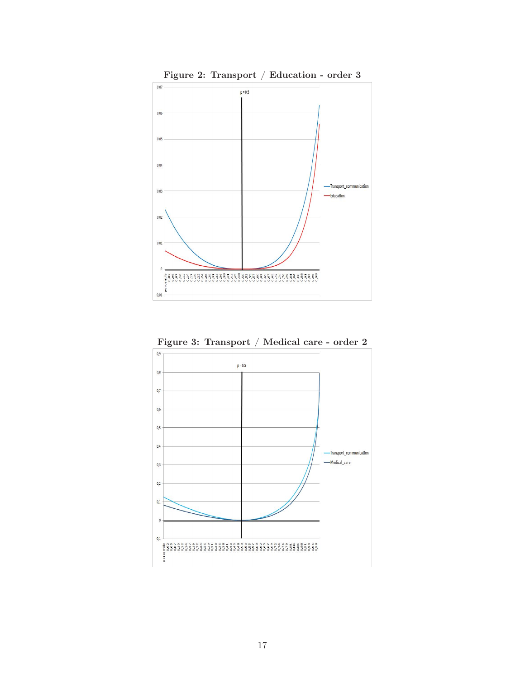

Figure 3: Transport / Medical care - order 2